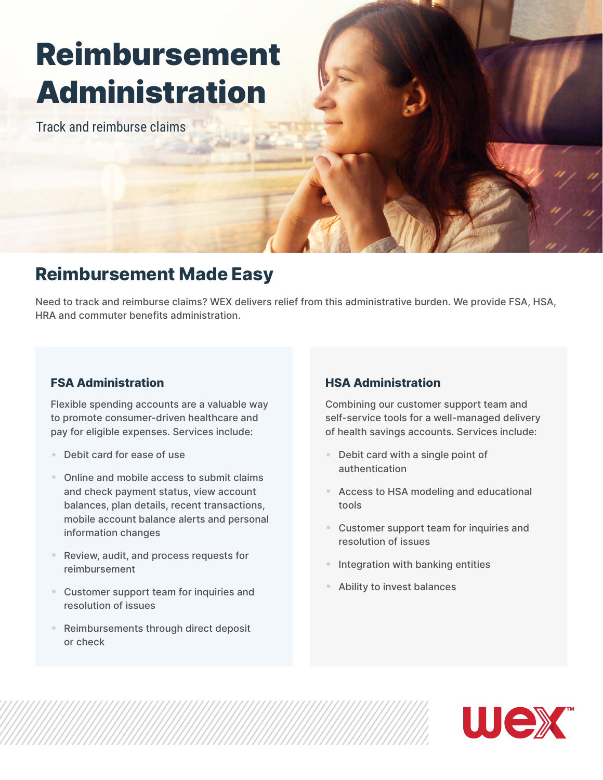# Reimbursement Administration

Track and reimburse claims

## **Reimbursement Made Easy**

Need to track and reimburse claims? WEX delivers relief from this administrative burden. We provide FSA, HSA, HRA and commuter benefits administration.

#### **FSA Administration**

Flexible spending accounts are a valuable way to promote consumer-driven healthcare and pay for eligible expenses. Services include:

- Debit card for ease of use
- Online and mobile access to submit claims and check payment status, view account balances, plan details, recent transactions, mobile account balance alerts and personal information changes
- Review, audit, and process requests for reimbursement
- Customer support team for inquiries and resolution of issues
- Reimbursements through direct deposit or check

#### **HSA Administration**

Combining our customer support team and self-service tools for a well-managed delivery of health savings accounts. Services include:

- Debit card with a single point of authentication
- Access to HSA modeling and educational tools
- Customer support team for inquiries and resolution of issues
- Integration with banking entities
- Ability to invest balances